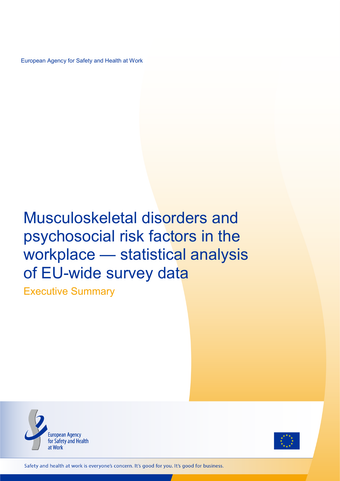European Agency for Safety and Health at Work

# Musculoskeletal disorders and psychosocial risk factors in the workplace — statistical analysis of EU-wide survey data

Executive Summary





Safety and health at work is everyone's concern. It's good for you. It's good for business.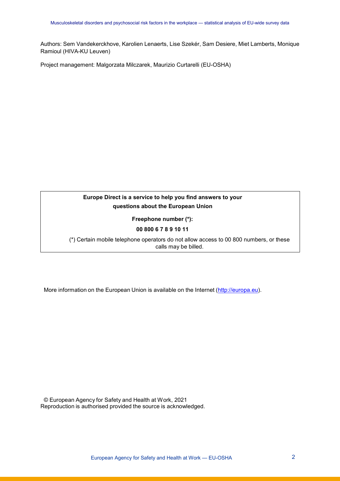Authors: Sem Vandekerckhove, Karolien Lenaerts, Lise Szekér, Sam Desiere, Miet Lamberts, Monique Ramioul (HIVA-KU Leuven)

Project management: Malgorzata Milczarek, Maurizio Curtarelli (EU-OSHA)

# **Europe Direct is a service to help you find answers to your questions about the European Union**

**Freephone number (\*):**

# **00 800 6 7 8 9 10 11**

(\*) Certain mobile telephone operators do not allow access to 00 800 numbers, or these calls may be billed.

More information on the European Union is available on the Internet [\(http://europa.eu\)](http://europa.eu/).

© European Agency for Safety and Health at Work, 2021 Reproduction is authorised provided the source is acknowledged.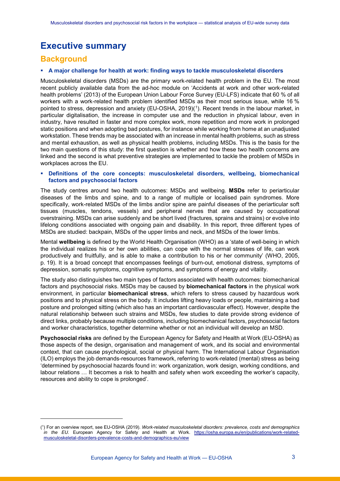# **Executive summary**

# **Background**

-

## **A major challenge for health at work: finding ways to tackle musculoskeletal disorders**

Musculoskeletal disorders (MSDs) are the primary work-related health problem in the EU. The most recent publicly available data from the ad-hoc module on 'Accidents at work and other work-related health problems' (2013) of the European Union Labour Force Survey (EU-LFS) indicate that 60 % of all workers with a work-related health problem identified MSDs as their most serious issue, while 16 % pointed to stress, depression and anxiety (EU-OSHA, 2019)([1\)](#page-2-0). Recent trends in the labour market, in particular digitalisation, the increase in computer use and the reduction in physical labour, even in industry, have resulted in faster and more complex work, more repetition and more work in prolonged static positions and when adopting bad postures, for instance while working from home at an unadjusted workstation. These trends may be associated with an increase in mental health problems, such as stress and mental exhaustion, as well as physical health problems, including MSDs. This is the basis for the two main questions of this study: the first question is whether and how these two health concerns are linked and the second is what preventive strategies are implemented to tackle the problem of MSDs in workplaces across the EU.

## **Definitions of the core concepts: musculoskeletal disorders, wellbeing, biomechanical factors and psychosocial factors**

The study centres around two health outcomes: MSDs and wellbeing. **MSDs** refer to periarticular diseases of the limbs and spine, and to a range of multiple or localised pain syndromes. More specifically, work-related MSDs of the limbs and/or spine are painful diseases of the periarticular soft tissues (muscles, tendons, vessels) and peripheral nerves that are caused by occupational overstraining. MSDs can arise suddenly and be short lived (fractures, sprains and strains) or evolve into lifelong conditions associated with ongoing pain and disability. In this report, three different types of MSDs are studied: backpain, MSDs of the upper limbs and neck, and MSDs of the lower limbs.

Mental **wellbeing** is defined by the World Health Organisation (WHO) as a 'state of well-being in which the individual realizes his or her own abilities, can cope with the normal stresses of life, can work productively and fruitfully, and is able to make a contribution to his or her community' (WHO, 2005, p. 19). It is a broad concept that encompasses feelings of burn-out, emotional distress, symptoms of depression, somatic symptoms, cognitive symptoms, and symptoms of energy and vitality.

The study also distinguishes two main types of factors associated with health outcomes: biomechanical factors and psychosocial risks. MSDs may be caused by **biomechanical factors** in the physical work environment, in particular **biomechanical stress**, which refers to stress caused by hazardous work positions and to physical stress on the body. It includes lifting heavy loads or people, maintaining a bad posture and prolonged sitting (which also has an important cardiovascular effect). However, despite the natural relationship between such strains and MSDs, few studies to date provide strong evidence of direct links, probably because multiple conditions, including biomechanical factors, psychosocial factors and worker characteristics, together determine whether or not an individual will develop an MSD.

**Psychosocial risks** are defined by the European Agency for Safety and Health at Work (EU-OSHA) as those aspects of the design, organisation and management of work, and its social and environmental context, that can cause psychological, social or physical harm. The International Labour Organisation (ILO) employs the job demands-resources framework, referring to work-related (mental) stress as being 'determined by psychosocial hazards found in: work organization, work design, working conditions, and labour relations … It becomes a risk to health and safety when work exceeding the worker's capacity, resources and ability to cope is prolonged'.

<span id="page-2-0"></span><sup>(</sup> 1 ) For an overview report, see EU-OSHA (2019). *Work-related musculoskeletal disorders: prevalence, costs and demographics in the EU*. European Agency for Safety and Health at Work. [https://osha.europa.eu/en/publications/work-related](https://osha.europa.eu/en/publications/work-related-musculoskeletal-disorders-prevalence-costs-and-demographics-eu/view)[musculoskeletal-disorders-prevalence-costs-and-demographics-eu/view](https://osha.europa.eu/en/publications/work-related-musculoskeletal-disorders-prevalence-costs-and-demographics-eu/view)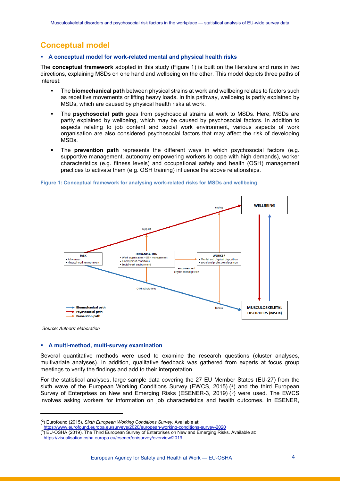# **Conceptual model**

# **A conceptual model for work-related mental and physical health risks**

The **conceptual framework** adopted in this study [\(Figure 1\)](#page-3-0) is built on the literature and runs in two directions, explaining MSDs on one hand and wellbeing on the other. This model depicts three paths of interest:

- The **biomechanical path** between physical strains at work and wellbeing relates to factors such as repetitive movements or lifting heavy loads. In this pathway, wellbeing is partly explained by MSDs, which are caused by physical health risks at work.
- The **psychosocial path** goes from psychosocial strains at work to MSDs. Here, MSDs are partly explained by wellbeing, which may be caused by psychosocial factors. In addition to aspects relating to job content and social work environment, various aspects of work organisation are also considered psychosocial factors that may affect the risk of developing MSDs.
- The **prevention path** represents the different ways in which psychosocial factors (e.g. supportive management, autonomy empowering workers to cope with high demands), worker characteristics (e.g. fitness levels) and occupational safety and health (OSH) management practices to activate them (e.g. OSH training) influence the above relationships.



#### <span id="page-3-0"></span>**Figure 1: Conceptual framework for analysing work-related risks for MSDs and wellbeing**

*Source: Authors' elaboration*

-

# **A multi-method, multi-survey examination**

Several quantitative methods were used to examine the research questions (cluster analyses, multivariate analyses). In addition, qualitative feedback was gathered from experts at focus group meetings to verify the findings and add to their interpretation.

For the statistical analyses, large sample data covering the 27 EU Member States (EU-27) from the sixth wave of the European Working Conditions Survey (EWCS, [2](#page-3-1)015)  $(2)$  and the third European Survey of Enterprises on New and Emerging Risks (ESENER-[3](#page-3-2), 2019)  $(3)$  were used. The EWCS involves asking workers for information on job characteristics and health outcomes. In ESENER,

<span id="page-3-1"></span><sup>(</sup> 2 ) Eurofound (2015). *Sixth European Working Conditions Survey*. Available at:

<https://www.eurofound.europa.eu/surveys/2020/european-working-conditions-survey-2020>

<span id="page-3-2"></span><sup>(</sup> 3 ) EU-OSHA (2019). The Third European Survey of Enterprises on New and Emerging Risks. Available at:

<https://visualisation.osha.europa.eu/esener/en/survey/overview/2019>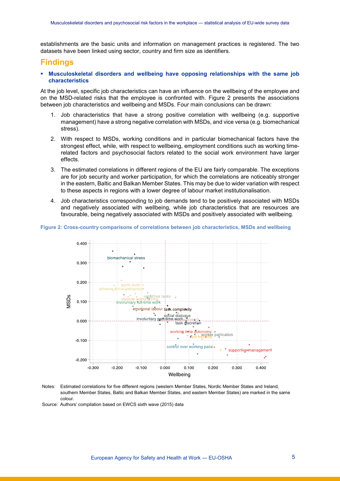establishments are the basic units and information on management practices is registered. The two datasets have been linked using sector, country and firm size as identifiers.

# **Findings**

 **Musculoskeletal disorders and wellbeing have opposing relationships with the same job characteristics**

At the job level, specific job characteristics can have an influence on the wellbeing of the employee and on the MSD-related risks that the employee is confronted with. Figure 2 presents the associations between job characteristics and wellbeing and MSDs. Four main conclusions can be drawn:

- 1. Job characteristics that have a strong positive correlation with wellbeing (e.g. supportive management) have a strong negative correlation with MSDs, and vice versa (e.g. biomechanical stress).
- 2. With respect to MSDs, working conditions and in particular biomechanical factors have the strongest effect, while, with respect to wellbeing, employment conditions such as working timerelated factors and psychosocial factors related to the social work environment have larger effects.
- 3. The estimated correlations in different regions of the EU are fairly comparable. The exceptions are for job security and worker participation, for which the correlations are noticeably stronger in the eastern, Baltic and Balkan Member States. This may be due to wider variation with respect to these aspects in regions with a lower degree of labour market institutionalisation.
- 4. Job characteristics corresponding to job demands tend to be positively associated with MSDs and negatively associated with wellbeing, while job characteristics that are resources are favourable, being negatively associated with MSDs and positively associated with wellbeing.

#### **Figure 2: Cross-country comparisons of correlations between job characteristics, MSDs and wellbeing**



Notes: Estimated correlations for five different regions (western Member States, Nordic Member States and Ireland, southern Member States, Baltic and Balkan Member States, and eastern Member States) are marked in the same colour.

Source: Authors' compilation based on EWCS sixth wave (2015) data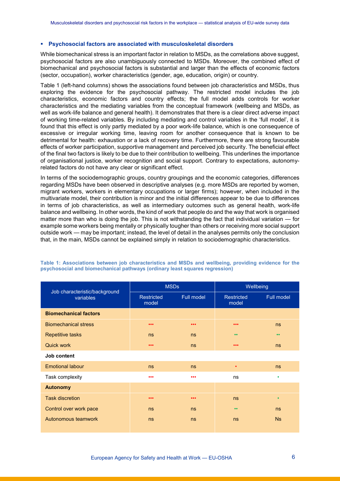#### **Psychosocial factors are associated with musculoskeletal disorders**

While biomechanical stress is an important factor in relation to MSDs, as the correlations above suggest, psychosocial factors are also unambiguously connected to MSDs. Moreover, the combined effect of biomechanical and psychosocial factors is substantial and larger than the effects of economic factors (sector, occupation), worker characteristics (gender, age, education, origin) or country.

Table 1 (left-hand columns) shows the associations found between job characteristics and MSDs, thus exploring the evidence for the psychosocial pathway. The restricted model includes the job characteristics, economic factors and country effects; the full model adds controls for worker characteristics and the mediating variables from the conceptual framework (wellbeing and MSDs, as well as work-life balance and general health). It demonstrates that there is a clear direct adverse impact of working time-related variables. By including mediating and control variables in the 'full model', it is found that this effect is only partly mediated by a poor work-life balance, which is one consequence of excessive or irregular working time, leaving room for another consequence that is known to be detrimental for health: exhaustion or a lack of recovery time. Furthermore, there are strong favourable effects of worker participation, supportive management and perceived job security. The beneficial effect of the final two factors is likely to be due to their contribution to wellbeing. This underlines the importance of organisational justice, worker recognition and social support. Contrary to expectations, autonomyrelated factors do not have any clear or significant effect.

In terms of the sociodemographic groups, country groupings and the economic categories, differences regarding MSDs have been observed in descriptive analyses (e.g. more MSDs are reported by women, migrant workers, workers in elementary occupations or larger firms); however, when included in the multivariate model, their contribution is minor and the initial differences appear to be due to differences in terms of job characteristics, as well as intermediary outcomes such as general health, work-life balance and wellbeing. In other words, the kind of work that people do and the way that work is organised matter more than who is doing the job. This is not withstanding the fact that individual variation — for example some workers being mentally or physically tougher than others or receiving more social support outside work — may be important; instead, the level of detail in the analyses permits only the conclusion that, in the main, MSDs cannot be explained simply in relation to sociodemographic characteristics.

| Job characteristic/background<br>variables |                            | <b>MSDs</b>             | Wellbeing                  |                  |  |
|--------------------------------------------|----------------------------|-------------------------|----------------------------|------------------|--|
|                                            | <b>Restricted</b><br>model | Full model              | <b>Restricted</b><br>model | Full model       |  |
| <b>Biomechanical factors</b>               |                            |                         |                            |                  |  |
| <b>Biomechanical stress</b>                | $\bullet\bullet\bullet$    | $\bullet\bullet\bullet$ | $\bullet\bullet\bullet$    | ns               |  |
| <b>Repetitive tasks</b>                    | ns                         | ns                      | $\bullet\bullet$           | $\bullet\bullet$ |  |
| Quick work                                 | $\bullet\bullet\bullet$    | ns                      | $\bullet\bullet\bullet$    | ns               |  |
| Job content                                |                            |                         |                            |                  |  |
| <b>Emotional labour</b>                    | ns                         | ns                      | $\bullet$                  | ns               |  |
| Task complexity                            | $\bullet\bullet\bullet$    | $\bullet\bullet\bullet$ | ns                         | ٠                |  |
| <b>Autonomy</b>                            |                            |                         |                            |                  |  |
| <b>Task discretion</b>                     | $\bullet\bullet\bullet$    | $\bullet\bullet\bullet$ | ns                         | $\bullet$        |  |
| Control over work pace                     | ns                         | ns                      | $\bullet\bullet$           | ns               |  |
| Autonomous teamwork                        | ns                         | ns                      | ns                         | Ns               |  |
|                                            |                            |                         |                            |                  |  |

<span id="page-5-0"></span>**Table 1: Associations between job characteristics and MSDs and wellbeing, providing evidence for the psychosocial and biomechanical pathways (ordinary least squares regression)**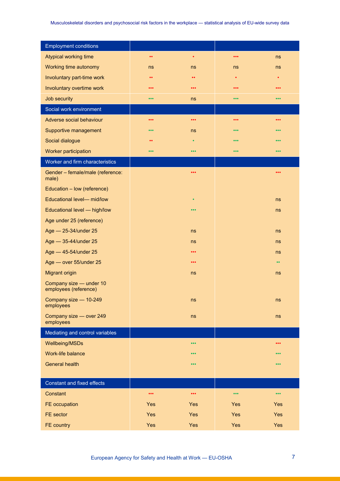| <b>Employment conditions</b>                     |                         |                         |                         |                         |
|--------------------------------------------------|-------------------------|-------------------------|-------------------------|-------------------------|
| <b>Atypical working time</b>                     | $\bullet\bullet$        | $\bullet$               | $\bullet\bullet\bullet$ | ns                      |
| Working time autonomy                            | ns                      | ns                      | ns                      | ns                      |
| Involuntary part-time work                       | $\bullet\,\bullet$      | $\bullet\,\bullet$      | $\bullet$               | $\bullet$               |
| Involuntary overtime work                        | $\bullet\bullet\bullet$ | $\bullet\bullet\bullet$ | $\bullet\bullet\bullet$ | $\bullet\bullet\bullet$ |
| Job security                                     | $\bullet\bullet\bullet$ | ns                      | $\bullet\bullet\bullet$ | $\bullet\bullet\bullet$ |
| Social work environment                          |                         |                         |                         |                         |
| Adverse social behaviour                         | • • •                   | $\bullet\bullet\bullet$ | $\bullet\bullet\bullet$ | $\bullet\bullet\bullet$ |
| Supportive management                            | • • •                   | ns                      | • • •                   | 000                     |
| Social dialogue                                  | $\bullet$               | $\bullet$               | • • •                   | $\bullet\bullet\bullet$ |
| <b>Worker participation</b>                      | • • •                   | • • •                   | $\bullet\bullet\bullet$ | $\bullet\bullet\bullet$ |
| Worker and firm characteristics                  |                         |                         |                         |                         |
| Gender - female/male (reference:<br>male)        |                         | $\bullet\bullet\bullet$ |                         | $\bullet\bullet\bullet$ |
| Education - low (reference)                      |                         |                         |                         |                         |
| Educational level- mid/low                       |                         | $\bullet$               |                         | ns                      |
| Educational level - high/low                     |                         | $\bullet\bullet\bullet$ |                         | ns                      |
| Age under 25 (reference)                         |                         |                         |                         |                         |
| Age - 25-34/under 25                             |                         | ns                      |                         | ns                      |
| Age - 35-44/under 25                             |                         | ns                      |                         | ns                      |
| Age - 45-54/under 25                             |                         | $\bullet\bullet\bullet$ |                         | ns                      |
| Age - over 55/under 25                           |                         | $\bullet\bullet\bullet$ |                         | $\bullet\bullet$        |
| <b>Migrant origin</b>                            |                         | ns                      |                         | ns                      |
| Company size - under 10<br>employees (reference) |                         |                         |                         |                         |
| Company size - 10-249<br>employees               |                         | ns                      |                         | ns                      |
| Company size - over 249<br>employees             |                         | ns                      |                         | ns                      |
| Mediating and control variables                  |                         |                         |                         |                         |
| <b>Wellbeing/MSDs</b>                            |                         | $\bullet\bullet\bullet$ |                         | $\bullet\bullet\bullet$ |
| Work-life balance                                |                         | • • •                   |                         | • • •                   |
| <b>General health</b>                            |                         | $\bullet\bullet\bullet$ |                         | $\bullet\bullet\bullet$ |
| <b>Constant and fixed effects</b>                |                         |                         |                         |                         |
| Constant                                         | $\bullet\bullet\bullet$ | $\bullet\bullet\bullet$ | $\bullet\bullet\bullet$ | $\bullet\bullet\bullet$ |
| FE occupation                                    | Yes                     | Yes                     | Yes                     | <b>Yes</b>              |
| FE sector                                        | Yes                     | Yes                     | <b>Yes</b>              | Yes                     |
| FE country                                       | Yes                     | Yes                     | Yes                     | Yes                     |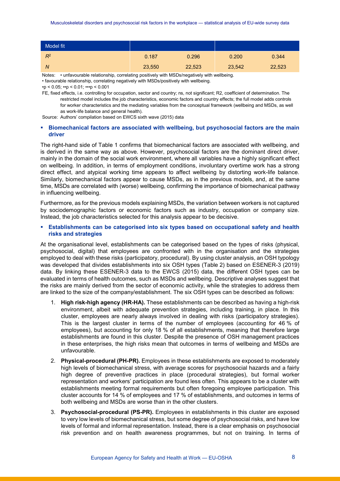| Model fit |        |        |        |        |
|-----------|--------|--------|--------|--------|
| $R^2$     | 0.187  | 0.296  | 0.200  | 0.344  |
| N         | 23,550 | 22,523 | 23,542 | 22,523 |

Notes: • unfavourable relationship, correlating positively with MSDs/negatively with wellbeing. • favourable relationship, correlating negatively with MSDs/positively with wellbeing.  $\cdot p$  < 0.05;  $\cdot p$  < 0.01;  $\cdot \cdot p$  < 0.001

FE, fixed effects, i.e. controlling for occupation, sector and country; ns, not significant; R2, coefficient of determination. The restricted model includes the job characteristics, economic factors and country effects; the full model adds controls for worker characteristics and the mediating variables from the conceptual framework (wellbeing and MSDs, as well as work-life balance and general health).

Source: Authors' compilation based on EWCS sixth wave (2015) data

# **Biomechanical factors are associated with wellbeing, but psychosocial factors are the main driver**

The right-hand side of [Table 1](#page-5-0) confirms that biomechanical factors are associated with wellbeing, and is derived in the same way as above. However, psychosocial factors are the dominant direct driver, mainly in the domain of the social work environment, where all variables have a highly significant effect on wellbeing. In addition, in terms of employment conditions, involuntary overtime work has a strong direct effect, and atypical working time appears to affect wellbeing by distorting work-life balance. Similarly, biomechanical factors appear to cause MSDs, as in the previous models, and, at the same time, MSDs are correlated with (worse) wellbeing, confirming the importance of biomechanical pathway in influencing wellbeing.

Furthermore, as for the previous models explaining MSDs, the variation between workers is not captured by sociodemographic factors or economic factors such as industry, occupation or company size. Instead, the job characteristics selected for this analysis appear to be decisive.

# **Establishments can be categorised into six types based on occupational safety and health risks and strategies**

At the organisational level, establishments can be categorised based on the types of risks (physical, psychosocial, digital) that employees are confronted with in the organisation and the strategies employed to deal with these risks (participatory, procedural). By using cluster analysis, an OSH typology was developed that divides establishments into six OSH types [\(Table](#page-8-0) 2) based on ESENER-3 (2019) data. By linking these ESENER-3 data to the EWCS (2015) data, the different OSH types can be evaluated in terms of health outcomes, such as MSDs and wellbeing. Descriptive analyses suggest that the risks are mainly derived from the sector of economic activity, while the strategies to address them are linked to the size of the company/establishment. The six OSH types can be described as follows:

- 1. **High risk-high agency (HR-HA).** These establishments can be described as having a high-risk environment, albeit with adequate prevention strategies, including training, in place. In this cluster, employees are nearly always involved in dealing with risks (participatory strategies). This is the largest cluster in terms of the number of employees (accounting for 46 % of employees), but accounting for only 18 % of all establishments, meaning that therefore large establishments are found in this cluster. Despite the presence of OSH management practices in these enterprises, the high risks mean that outcomes in terms of wellbeing and MSDs are unfavourable.
- 2. **Physical-procedural (PH-PR).** Employees in these establishments are exposed to moderately high levels of biomechanical stress, with average scores for psychosocial hazards and a fairly high degree of preventive practices in place (procedural strategies), but formal worker representation and workers' participation are found less often. This appears to be a cluster with establishments meeting formal requirements but often foregoing employee participation. This cluster accounts for 14 % of employees and 17 % of establishments, and outcomes in terms of both wellbeing and MSDs are worse than in the other clusters.
- 3. **Psychosocial-procedural (PS-PR).** Employees in establishments in this cluster are exposed to very low levels of biomechanical stress, but some degree of psychosocial risks, and have low levels of formal and informal representation. Instead, there is a clear emphasis on psychosocial risk prevention and on health awareness programmes, but not on training. In terms of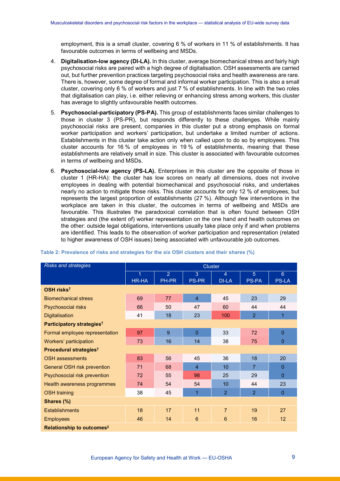employment, this is a small cluster, covering 6 % of workers in 11 % of establishments. It has favourable outcomes in terms of wellbeing and MSDs.

- 4. **Digitalisation-low agency (DI-LA).** In this cluster, average biomechanical stress and fairly high psychosocial risks are paired with a high degree of digitalisation. OSH assessments are carried out, but further prevention practices targeting psychosocial risks and health awareness are rare. There is, however, some degree of formal and informal worker participation. This is also a small cluster, covering only 6 % of workers and just 7 % of establishments. In line with the two roles that digitalisation can play, i.e. either relieving or enhancing stress among workers, this cluster has average to slightly unfavourable health outcomes.
- 5. **Psychosocial-participatory (PS-PA).** This group of establishments faces similar challenges to those in cluster 3 (PS-PR), but responds differently to these challenges. While mainly psychosocial risks are present, companies in this cluster put a strong emphasis on formal worker participation and workers' participation, but undertake a limited number of actions. Establishments in this cluster take action only when called upon to do so by employees. This cluster accounts for 16 % of employees in 19 % of establishments, meaning that these establishments are relatively small in size. This cluster is associated with favourable outcomes in terms of wellbeing and MSDs.
- 6. **Psychosocial-low agency (PS-LA).** Enterprises in this cluster are the opposite of those in cluster 1 (HR-HA): the cluster has low scores on nearly all dimensions, does not involve employees in dealing with potential biomechanical and psychosocial risks, and undertakes nearly no action to mitigate those risks. This cluster accounts for only 12 % of employees, but represents the largest proportion of establishments (27 %). Although few interventions in the workplace are taken in this cluster, the outcomes in terms of wellbeing and MSDs are favourable. This illustrates the paradoxical correlation that is often found between OSH strategies and (the extent of) worker representation on the one hand and health outcomes on the other: outside legal obligations, interventions usually take place only if and when problems are identified. This leads to the observation of worker participation and representation (related to higher awareness of OSH issues) being associated with unfavourable job outcomes.

| <b>Risks and strategies</b>           | <b>Cluster</b> |               |                |                |                |                |  |
|---------------------------------------|----------------|---------------|----------------|----------------|----------------|----------------|--|
|                                       | 1              | $\mathcal{P}$ | 3              | $\overline{4}$ | 5              | $6\phantom{1}$ |  |
|                                       | <b>HR-HA</b>   | PH-PR         | <b>PS-PR</b>   | <b>DI-LA</b>   | <b>PS-PA</b>   | <b>PS-LA</b>   |  |
| OSH risks <sup>t</sup>                |                |               |                |                |                |                |  |
| <b>Biomechanical stress</b>           | 69             | 77            | $\overline{4}$ | 45             | 23             | 29             |  |
| Psychosocial risks                    | 66             | 50            | 47             | 60             | 44             | 44             |  |
| <b>Digitalisation</b>                 | 41             | 18            | 23             | 100            | $\overline{2}$ | 1              |  |
| Participatory strategies <sup>t</sup> |                |               |                |                |                |                |  |
| Formal employee representation        | 97             | 9             | $\overline{0}$ | 33             | 72             | $\overline{0}$ |  |
| Workers' participation                | 73             | 16            | 14             | 38             | 75             | $\overline{0}$ |  |
| Procedural strategies <sup>t</sup>    |                |               |                |                |                |                |  |
| <b>OSH</b> assessments                | 83             | 56            | 45             | 36             | 18             | 20             |  |
| General OSH risk prevention           | 71             | 68            | $\overline{4}$ | 10             | $\overline{7}$ | $\overline{0}$ |  |
| Psychosocial risk prevention          | 72             | 55            | 98             | 25             | 29             | $\overline{0}$ |  |
| Health awareness programmes           | 74             | 54            | 54             | 10             | 44             | 23             |  |
| <b>OSH</b> training                   | 38             | 45            | 1              | $\overline{2}$ | $\overline{2}$ | $\Omega$       |  |
| Shares (%)                            |                |               |                |                |                |                |  |
| <b>Establishments</b>                 | 18             | 17            | 11             | $\overline{7}$ | 19             | 27             |  |
| <b>Employees</b>                      | 46             | 14            | 6              | 6              | 16             | 12             |  |
| Relationship to outcomes <sup>#</sup> |                |               |                |                |                |                |  |

#### <span id="page-8-0"></span>**Table 2: Prevalence of risks and strategies for the six OSH clusters and their shares (%)**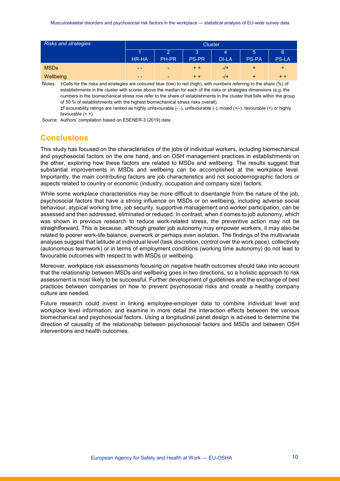| <b>Risks and strategies</b> | <b>Cluster</b> |                |              |              |              |              |
|-----------------------------|----------------|----------------|--------------|--------------|--------------|--------------|
|                             |                |                | Β.           | 4            | 5            | 6            |
|                             | <b>HR-HA</b>   | PH-PR          | <b>PS-PR</b> | <b>DI-LA</b> | <b>PS-PA</b> | <b>PS-LA</b> |
| <b>MSDs</b>                 | $\sim$ $\sim$  | <b>Section</b> | $+ +$        | $-$ /+       | +            | $\ddot{}$    |
| Wellbeing                   | $\sim$ $\sim$  | <b>Section</b> | $+ +$        | $-$ /+       | $\ddot{}$    | $+ +$        |

Notes: †Cells for the risks and strategies are coloured blue (low) to red (high), with numbers referring to the share (%) of establishments in the cluster with scores above the median for each of the risks or strategies dimensions (e.g. the numbers in the biomechanical stress row refer to the share of establishments in the cluster that falls within the group of 50 % of establishments with the highest biomechanical stress risks overall).

‡Favourability ratings are ranked as highly unfavourable (- -), unfavourable (-), mixed (+/-), favourable (+) or highly favourable  $(+ +)$ .

Source: Authors' compilation based on ESENER-3 (2019) data

# **Conclusions**

This study has focused on the characteristics of the jobs of individual workers, including biomechanical and psychosocial factors on the one hand, and on OSH management practices in establishments on the other, exploring how these factors are related to MSDs and wellbeing. The results suggest that substantial improvements in MSDs and wellbeing can be accomplished at the workplace level. Importantly, the main contributing factors are job characteristics and not sociodemographic factors or aspects related to country or economic (industry, occupation and company size) factors.

While some workplace characteristics may be more difficult to disentangle from the nature of the job, psychosocial factors that have a strong influence on MSDs or on wellbeing, including adverse social behaviour, atypical working time, job security, supportive management and worker participation, can be assessed and then addressed, eliminated or reduced. In contrast, when it comes to job autonomy, which was shown in previous research to reduce work-related stress, the preventive action may not be straightforward. This is because, although greater job autonomy may empower workers, it may also be related to poorer work-life balance, overwork or perhaps even isolation. The findings of the multivariate analyses suggest that latitude at individual level (task discretion, control over the work pace), collectively (autonomous teamwork) or in terms of employment conditions (working time autonomy) do not lead to favourable outcomes with respect to with MSDs or wellbeing.

Moreover, workplace risk assessments focusing on negative health outcomes should take into account that the relationship between MSDs and wellbeing goes in two directions, so a holistic approach to risk assessment is most likely to be successful. Further development of guidelines and the exchange of best practices between companies on how to prevent psychosocial risks and create a healthy company culture are needed.

Future research could invest in linking employee-employer data to combine individual level and workplace level information, and examine in more detail the interaction effects between the various biomechanical and psychosocial factors. Using a longitudinal panel design is advised to determine the direction of causality of the relationship between psychosocial factors and MSDs and between OSH interventions and health outcomes.